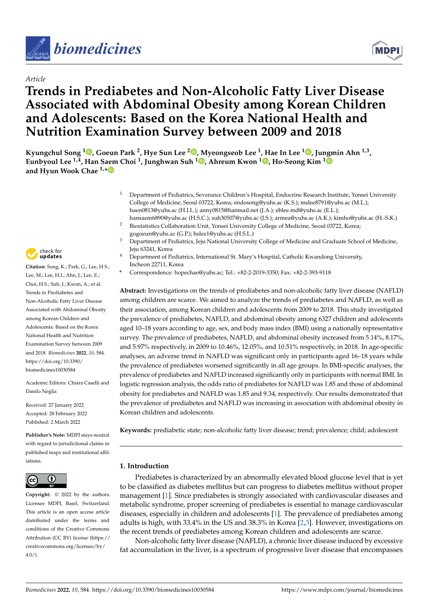

## *Article*

# **Trends in Prediabetes and Non-Alcoholic Fatty Liver Disease Associated with Abdominal Obesity among Korean Children and Adolescents: Based on the Korea National Health and Nutrition Examination Survey between 2009 and 2018**

 $\bf{K}$ yungchul Song  $^{1}$  $^{1}$  $^{1}$   $\bf{0}$ [,](https://orcid.org/0000-0002-8497-5934) Goeun Park  $^2$  $^2$ , Hye Sun Lee  $^{2}$   $\bf{0}$ , Myeongseob Lee  $^{1}$ , Hae In Lee  $^{1}$   $\bf{0}$ , Ju[ngm](https://orcid.org/0000-0003-1135-099X)in Ahn  $^{1,3}$ , **Eunbyoul Lee 1,4, Han S[aem](https://orcid.org/0000-0001-5016-8539) Choi <sup>1</sup> , Junghwan Suh <sup>1</sup> [,](https://orcid.org/0000-0002-2092-2585) Ahreum Kwon <sup>1</sup> [,](https://orcid.org/0000-0002-9692-2135) Ho-Seong Kim <sup>1</sup> and Hyun Wook Chae 1,\***

- <sup>1</sup> Department of Pediatrics, Severance Children's Hospital, Endocrine Research Institute, Yonsei University College of Medicine, Seoul 03722, Korea; endosong@yuhs.ac (K.S.); mslee8791@yuhs.ac (M.L.); haen0813@yuhs.ac (H.I.L.); anny0815@hanmail.net (J.A.); eblee.md@yuhs.ac (E.L.); hansaem6890@yuhs.ac (H.S.C.); suh30507@yuhs.ac (J.S.); armea@yuhs.ac (A.K.); kimho@yuhs.ac (H.-S.K.)
- <sup>2</sup> Biostatistics Collaboration Unit, Yonsei University College of Medicine, Seoul 03722, Korea; gogoeun@yuhs.ac (G.P.); hslee1@yuhs.ac (H.S.L.)
- <sup>3</sup> Department of Pediatrics, Jeju National University College of Medicine and Graduate School of Medicine, Jeju 63241, Korea
- <sup>4</sup> Department of Pediatrics, International St. Mary's Hospital, Catholic Kwandong University, Incheon 22711, Korea
- **\*** Correspondence: hopechae@yuhs.ac; Tel.: +82-2-2019-3350; Fax: +82-2-393-9118

**Abstract:** Investigations on the trends of prediabetes and non-alcoholic fatty liver disease (NAFLD) among children are scarce. We aimed to analyze the trends of prediabetes and NAFLD, as well as their association, among Korean children and adolescents from 2009 to 2018. This study investigated the prevalence of prediabetes, NAFLD, and abdominal obesity among 6327 children and adolescents aged 10–18 years according to age, sex, and body mass index (BMI) using a nationally representative survey. The prevalence of prediabetes, NAFLD, and abdominal obesity increased from 5.14%, 8.17%, and 5.97% respectively, in 2009 to 10.46%, 12.05%, and 10.51% respectively, in 2018. In age-specific analyses, an adverse trend in NAFLD was significant only in participants aged 16–18 years while the prevalence of prediabetes worsened significantly in all age groups. In BMI-specific analyses, the prevalence of prediabetes and NAFLD increased significantly only in participants with normal BMI. In logistic regression analysis, the odds ratio of prediabetes for NAFLD was 1.85 and those of abdominal obesity for prediabetes and NAFLD was 1.85 and 9.34, respectively. Our results demonstrated that the prevalence of prediabetes and NAFLD was increasing in association with abdominal obesity in Korean children and adolescents.

**Keywords:** prediabetic state; non-alcoholic fatty liver disease; trend; prevalence; child; adolescent

## **1. Introduction**

Prediabetes is characterized by an abnormally elevated blood glucose level that is yet to be classified as diabetes mellitus but can progress to diabetes mellitus without proper management [\[1\]](#page-11-0). Since prediabetes is strongly associated with cardiovascular diseases and metabolic syndrome, proper screening of prediabetes is essential to manage cardiovascular diseases, especially in children and adolescents [\[1\]](#page-11-0). The prevalence of prediabetes among adults is high, with 33.4% in the US and 38.3% in Korea [\[2](#page-11-1)[,3\]](#page-11-2). However, investigations on the recent trends of prediabetes among Korean children and adolescents are scarce.

Non-alcoholic fatty liver disease (NAFLD), a chronic liver disease induced by excessive fat accumulation in the liver, is a spectrum of progressive liver disease that encompasses



**Citation:** Song, K.; Park, G.; Lee, H.S.; Lee, M.; Lee, H.I.; Ahn, J.; Lee, E.; Choi, H.S.; Suh, J.; Kwon, A.; et al. Trends in Prediabetes and Non-Alcoholic Fatty Liver Disease Associated with Abdominal Obesity among Korean Children and Adolescents: Based on the Korea National Health and Nutrition Examination Survey between 2009 and 2018. *Biomedicines* **2022**, *10*, 584. [https://doi.org/10.3390/](https://doi.org/10.3390/biomedicines10030584) [biomedicines10030584](https://doi.org/10.3390/biomedicines10030584)

Academic Editors: Chiara Caselli and Danilo Neglia

Received: 27 January 2022 Accepted: 28 February 2022 Published: 2 March 2022

**Publisher's Note:** MDPI stays neutral with regard to jurisdictional claims in published maps and institutional affiliations.



**Copyright:** © 2022 by the authors. Licensee MDPI, Basel, Switzerland. This article is an open access article distributed under the terms and conditions of the Creative Commons Attribution (CC BY) license [\(https://](https://creativecommons.org/licenses/by/4.0/) [creativecommons.org/licenses/by/](https://creativecommons.org/licenses/by/4.0/)  $4.0/$ ).

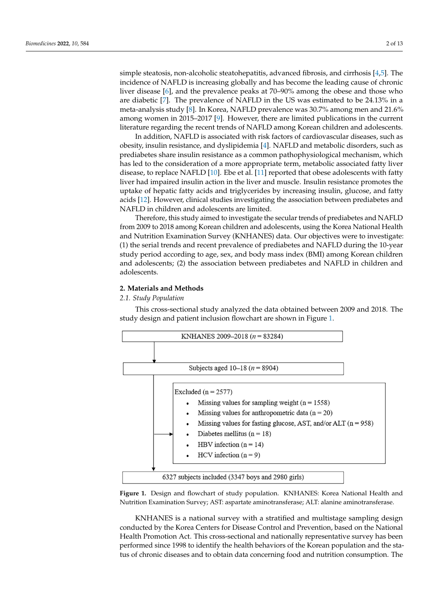simple steatosis, non-alcoholic steatohepatitis, advanced fibrosis, and cirrhosis [\[4](#page-11-3)[,5\]](#page-11-4). The incidence of NAFLD is increasing globally and has become the leading cause of chronic liver disease [6], and the prevalence peaks at 70–90% among the obese and those who are diabetic [\[7\]](#page-11-6). The prevalence of NAFLD in the US was estimated to be 24.13% in a meta-analysis study [8]. In Korea, NAFLD prevalence was 30.7% among men and 21.6% among women in 2015-2017 [9]. However, there are limited publications in the current literature regarding the recent trends of NAFLD among Korean children and adolescents.

sive fat accumulation in the liver, is a spectrum of progressive liver disease that encom-

In addition, NAFLD is associated with risk factors of cardiovascular diseases, such as obesity, insulin resistance, and dyslipidemia [4]. NAFLD and metabolic disorders, such as prediabetes share insulin resistance as a common pathophysiological mechanism, which has led to the consideration of a more appropriate term, metabolic associated fatty liver disease, to replace NAFLD  $[10]$ . Ebe et al.  $[11]$  reported that obese adolescents with fatty liver had impaired insulin action in the liver and muscle. Insulin resistance promotes the uptake of hepatic fatty acids and triglycerides by increasing insulin, glucose, and fatty acids [\[12\]](#page-11-11). However, clinical studies investigating the association between prediabetes and NAFLD in children and adolescents are limited.

Therefore, this study aimed to investigate the secular trends of prediabetes and NAFLD from 2009 to 2018 among Korean children and adolescents, using the Korea National Health and Nutrition Examination Survey (KNHANES) data. Our objectives were to investigate: (1) the serial trends and recent prevalence of prediabetes and NAFLD during the 10-year study period according to age, sex, and body mass index (BMI) among Korean children and adolescents; (2) the association between prediabetes and NAFLD in children and adolescents.

## **2. Materials and Methods 2. Materials and Methods**

## *2.1. Study Population 2.1. Study Population*

This cross-sectional study analyzed the data obtained between 2009 and 2018. The This cross-sectional study analyzed the data obtained between 2009 and 2018. The study design and patient inclusion flowchart are shown in Figure [1.](#page-1-0) study design and patient inclusion flowchart are shown in Figure 1.

<span id="page-1-0"></span>

**Figure 1.** Design and flowchart of study population. KNHANES: Korea National Health and Nu-Nutrition Examination Survey; AST: aspartate aminotransferase; ALT: alanine aminotransferase. **Figure 1.** Design and flowchart of study population. KNHANES: Korea National Health and

conducted by the Korea Centers for Disease Control and Prevention, based on the National Health Promotion Act. This cross-sectional and nationally representative survey has been KNHANES is a national survey with a stratified and multistage sampling design performed since 1998 to identify the health behaviors of the Korean population and the status of chronic diseases and to obtain data concerning food and nutrition consumption. The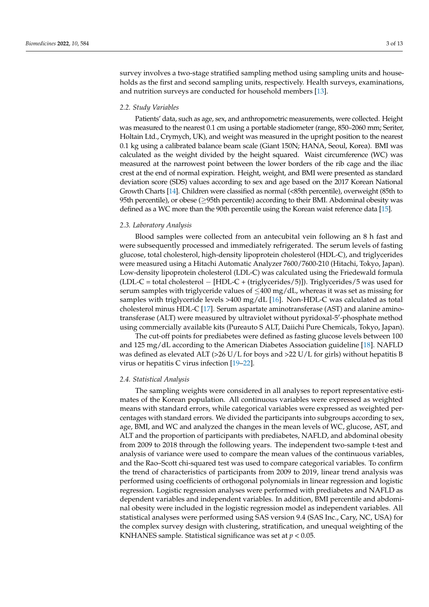survey involves a two-stage stratified sampling method using sampling units and households as the first and second sampling units, respectively. Health surveys, examinations, and nutrition surveys are conducted for household members [\[13\]](#page-11-12).

## *2.2. Study Variables*

Patients' data, such as age, sex, and anthropometric measurements, were collected. Height was measured to the nearest 0.1 cm using a portable stadiometer (range, 850–2060 mm; Seriter, Holtain Ltd., Crymych, UK), and weight was measured in the upright position to the nearest 0.1 kg using a calibrated balance beam scale (Giant 150N; HANA, Seoul, Korea). BMI was calculated as the weight divided by the height squared. Waist circumference (WC) was measured at the narrowest point between the lower borders of the rib cage and the iliac crest at the end of normal expiration. Height, weight, and BMI were presented as standard deviation score (SDS) values according to sex and age based on the 2017 Korean National Growth Charts [\[14\]](#page-11-13). Children were classified as normal (<85th percentile), overweight (85th to 95th percentile), or obese (≥95th percentile) according to their BMI. Abdominal obesity was defined as a WC more than the 90th percentile using the Korean waist reference data [\[15\]](#page-11-14).

## *2.3. Laboratory Analysis*

Blood samples were collected from an antecubital vein following an 8 h fast and were subsequently processed and immediately refrigerated. The serum levels of fasting glucose, total cholesterol, high-density lipoprotein cholesterol (HDL-C), and triglycerides were measured using a Hitachi Automatic Analyzer 7600/7600-210 (Hitachi, Tokyo, Japan). Low-density lipoprotein cholesterol (LDL-C) was calculated using the Friedewald formula (LDL-C = total cholesterol − [HDL-C + (triglycerides/5)]). Triglycerides/5 was used for serum samples with triglyceride values of  $\leq 400$  mg/dL, whereas it was set as missing for samples with triglyceride levels  $>400 \text{ mg/dL}$  [\[16\]](#page-11-15). Non-HDL-C was calculated as total cholesterol minus HDL-C [\[17\]](#page-11-16). Serum aspartate aminotransferase (AST) and alanine aminotransferase (ALT) were measured by ultraviolet without pyridoxal-5'-phosphate method using commercially available kits (Pureauto S ALT, Daiichi Pure Chemicals, Tokyo, Japan).

The cut-off points for prediabetes were defined as fasting glucose levels between 100 and 125 mg/dL according to the American Diabetes Association guideline [\[18\]](#page-11-17). NAFLD was defined as elevated ALT ( $>26$  U/L for boys and  $>22$  U/L for girls) without hepatitis B virus or hepatitis C virus infection [\[19–](#page-11-18)[22\]](#page-12-0).

### *2.4. Statistical Analysis*

The sampling weights were considered in all analyses to report representative estimates of the Korean population. All continuous variables were expressed as weighted means with standard errors, while categorical variables were expressed as weighted percentages with standard errors. We divided the participants into subgroups according to sex, age, BMI, and WC and analyzed the changes in the mean levels of WC, glucose, AST, and ALT and the proportion of participants with prediabetes, NAFLD, and abdominal obesity from 2009 to 2018 through the following years. The independent two-sample t-test and analysis of variance were used to compare the mean values of the continuous variables, and the Rao–Scott chi-squared test was used to compare categorical variables. To confirm the trend of characteristics of participants from 2009 to 2019, linear trend analysis was performed using coefficients of orthogonal polynomials in linear regression and logistic regression. Logistic regression analyses were performed with prediabetes and NAFLD as dependent variables and independent variables. In addition, BMI percentile and abdominal obesity were included in the logistic regression model as independent variables. All statistical analyses were performed using SAS version 9.4 (SAS Inc., Cary, NC, USA) for the complex survey design with clustering, stratification, and unequal weighting of the KNHANES sample. Statistical significance was set at *p* < 0.05.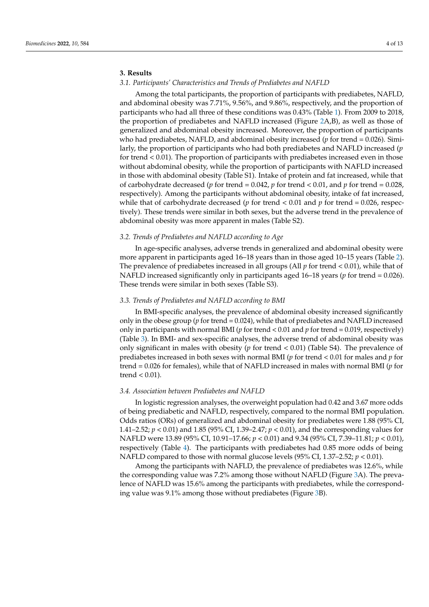## **3. Results**

## *3.1. Participants' Characteristics and Trends of Prediabetes and NAFLD*

Among the total participants, the proportion of participants with prediabetes, NAFLD, and abdominal obesity was 7.71%, 9.56%, and 9.86%, respectively, and the proportion of participants who had all three of these conditions was 0.43% (Table [1\)](#page-4-0). From 2009 to 2018, the proportion of prediabetes and NAFLD increased (Figure [2A](#page-5-0),B), as well as those of generalized and abdominal obesity increased. Moreover, the proportion of participants who had prediabetes, NAFLD, and abdominal obesity increased (*p* for trend = 0.026). Similarly, the proportion of participants who had both prediabetes and NAFLD increased (*p* for trend < 0.01). The proportion of participants with prediabetes increased even in those without abdominal obesity, while the proportion of participants with NAFLD increased in those with abdominal obesity (Table S1). Intake of protein and fat increased, while that of carbohydrate decreased (*p* for trend = 0.042, *p* for trend < 0.01, and *p* for trend = 0.028, respectively). Among the participants without abdominal obesity, intake of fat increased, while that of carbohydrate decreased (*p* for trend < 0.01 and *p* for trend = 0.026, respectively). These trends were similar in both sexes, but the adverse trend in the prevalence of abdominal obesity was more apparent in males (Table S2).

### *3.2. Trends of Prediabetes and NAFLD according to Age*

In age-specific analyses, adverse trends in generalized and abdominal obesity were more apparent in participants aged 16–18 years than in those aged 10–15 years (Table [2\)](#page-6-0). The prevalence of prediabetes increased in all groups (All *p* for trend < 0.01), while that of NAFLD increased significantly only in participants aged 16–18 years (*p* for trend = 0.026). These trends were similar in both sexes (Table S3).

### *3.3. Trends of Prediabetes and NAFLD according to BMI*

In BMI-specific analyses, the prevalence of abdominal obesity increased significantly only in the obese group (*p* for trend = 0.024), while that of prediabetes and NAFLD increased only in participants with normal BMI (*p* for trend < 0.01 and *p* for trend = 0.019, respectively) (Table [3\)](#page-7-0). In BMI- and sex-specific analyses, the adverse trend of abdominal obesity was only significant in males with obesity (*p* for trend < 0.01) (Table S4). The prevalence of prediabetes increased in both sexes with normal BMI (*p* for trend < 0.01 for males and *p* for trend = 0.026 for females), while that of NAFLD increased in males with normal BMI (*p* for trend  $< 0.01$ ).

## *3.4. Association between Prediabetes and NAFLD*

In logistic regression analyses, the overweight population had 0.42 and 3.67 more odds of being prediabetic and NAFLD, respectively, compared to the normal BMI population. Odds ratios (ORs) of generalized and abdominal obesity for prediabetes were 1.88 (95% CI, 1.41–2.52; *p* < 0.01) and 1.85 (95% CI, 1.39–2.47; *p* < 0.01), and the corresponding values for NAFLD were 13.89 (95% CI, 10.91–17.66; *p* < 0.01) and 9.34 (95% CI, 7.39–11.81; *p* < 0.01), respectively (Table [4\)](#page-7-1). The participants with prediabetes had 0.85 more odds of being NAFLD compared to those with normal glucose levels  $(95\% \text{ CI}, 1.37-2.52; p < 0.01)$ .

Among the participants with NAFLD, the prevalence of prediabetes was 12.6%, while the corresponding value was 7.2% among those without NAFLD (Figure [3A](#page-8-0)). The prevalence of NAFLD was 15.6% among the participants with prediabetes, while the corresponding value was 9.1% among those without prediabetes (Figure [3B](#page-8-0)).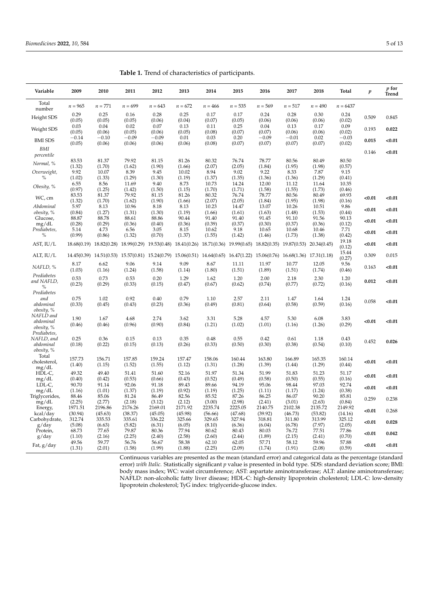| Variable                                | 2009                      | 2010                      | 2011                      | 2012                      | 2013                                                                                | 2014                      | 2015                      | 2016                                | 2017                      | 2018                      | Total                     | $\boldsymbol{p}$ | p for<br>Trend |
|-----------------------------------------|---------------------------|---------------------------|---------------------------|---------------------------|-------------------------------------------------------------------------------------|---------------------------|---------------------------|-------------------------------------|---------------------------|---------------------------|---------------------------|------------------|----------------|
| Total<br>number                         | $n = 965$                 | $n = 771$                 | $n = 699$                 | $n = 643$                 | $n = 672$                                                                           | $n = 466$                 | $n = 535$                 | $n = 569$                           | $n = 517$                 | $n = 490$                 | $n = 6437$                |                  |                |
| Height SDS                              | 0.29<br>(0.05)            | 0.25<br>(0.05)            | 0.16<br>(0.05)            | 0.28<br>(0.06)            | 0.25<br>(0.04)                                                                      | 0.17<br>(0.07)            | 0.17<br>(0.05)            | 0.24<br>(0.06)                      | 0.28<br>(0.06)            | 0.30<br>(0.06)            | 0.24<br>(0.02)            | 0.509            | 0.845          |
| Weight SDS                              | 0.03<br>(0.05)            | 0.04<br>(0.06)            | 0.02<br>(0.05)            | 0.07<br>(0.06)            | 0.13<br>(0.05)                                                                      | 0.11<br>(0.08)            | 0.25<br>(0.07)            | 0.04<br>(0.07)                      | 0.13<br>(0.06)            | 0.17<br>(0.06)            | 0.09<br>(0.02)            | 0.193            | 0.022          |
| <b>BMI SDS</b>                          | $-0.14$<br>(0.05)         | $-0.10$<br>(0.06)         | $-0.09$<br>(0.06)         | $-0.09$<br>(0.06)         | 0.01<br>(0.06)                                                                      | 0.03<br>(0.08)            | 0.20<br>(0.07)            | $-0.09$<br>(0.07)                   | $-0.01$<br>(0.07)         | 0.02<br>(0.07)            | $-0.03$<br>(0.02)         | 0.015            | < 0.01         |
| BMI<br>percentile                       |                           |                           |                           |                           |                                                                                     |                           |                           |                                     |                           |                           |                           | 0.146            | < 0.01         |
| Normal, %                               | 83.53<br>(1.32)           | 81.37<br>(1.70)           | 79.92<br>(1.62)           | 81.15<br>(1.90)           | 81.26<br>(1.66)                                                                     | 80.32<br>(2.07)           | 76.74<br>(2.05)           | 78.77<br>(1.84)                     | 80.56<br>(1.95)           | 80.49<br>(1.98)           | 80.50<br>(0.57)           |                  |                |
| Overweight,<br>$\%$                     | 9.92<br>(1.02)            | 10.07<br>(1.33)           | 8.39<br>(1.29)            | 9.45<br>(1.30)            | 10.02<br>(1.19)                                                                     | 8.94<br>(1.37)            | 9.02<br>(1.35)            | 9.22<br>(1.36)                      | 8.33<br>(1.36)            | 7.87<br>(1.29)            | 9.15<br>(0.41)            |                  |                |
| Obesity, %                              | 6.55                      | 8.56                      | 11.69                     | 9.40                      | 8.73                                                                                | 10.73                     | 14.24                     | 12.00                               | 11.12                     | 11.64                     | 10.35                     |                  |                |
| WC, cm                                  | (0.97)<br>83.53<br>(1.32) | (1.25)<br>81.37<br>(1.70) | (1.42)<br>79.92<br>(1.62) | (1.50)<br>81.15<br>(1.90) | (1.15)<br>81.26<br>(1.66)                                                           | (1.70)<br>80.32<br>(2.07) | (1.71)<br>76.74<br>(2.05) | (1.58)<br>78.77<br>(1.84)           | (1.55)<br>80.56<br>(1.95) | (1.73)<br>80.49<br>(1.98) | (0.46)<br>69.93<br>(0.16) | < 0.01           | < 0.01         |
| Abdominal<br>obesity, %                 | 5.97<br>(0.84)            | 8.13<br>(1.27)            | 10.96<br>(1.31)           | 8.18<br>(1.30)            | 8.13<br>(1.19)                                                                      | 10.23<br>(1.66)           | 14.47<br>(1.61)           | 13.07<br>(1.63)                     | 10.26<br>(1.48)           | 10.51<br>(1.53)           | 9.86<br>(0.44)            | < 0.01           | < 0.01         |
| Glucose,<br>mg/dL                       | 88.87<br>(0.28)           | 88.78<br>(0.29)           | 88.61<br>(0.36)           | 88.86<br>(0.40)           | 90.44<br>(0.36)                                                                     | 91.40<br>(0.39)           | 91.40<br>(0.37)           | 91.45<br>(0.30)                     | 91.10<br>(0.37)           | 91.56<br>(0.36)           | 90.13<br>(0.12)           | < 0.01           | < 0.01         |
| Prediabetes,<br>$\%$                    | 5.14<br>(0.99)            | 4.73<br>(0.86)            | 6.56<br>(1.32)            | 3.05<br>(0.70)            | 8.15<br>(1.37)                                                                      | 10.62<br>(1.55)           | 9.18<br>(1.42)            | 10.65<br>(1.46)                     | 10.68<br>(1.73)           | 10.46<br>(1.38)           | 7.71<br>(0.42)            | < 0.01           | < 0.01         |
| AST, IU/L                               |                           | 18.68(0.19) 18.82(0.28)   |                           |                           | 18.99(0.29) 19.53(0.48) 18.41(0.26) 18.71(0.36) 19.99(0.65)                         |                           |                           | 18.82(0.35)                         | 19.87(0.53) 20.34(0.45)   |                           | 19.18<br>(0.12)           | < 0.01           | < 0.01         |
| ALT, IU/L                               |                           |                           |                           |                           | 14.45(0.39) 14.51(0.53) 15.57(0.81) 15.24(0.79) 15.06(0.51) 14.64(0.65) 16.47(1.22) |                           |                           | 15.06(0.76) 16.68(1.36) 17.31(1.18) |                           |                           | 15.44<br>(0.27)           | 0.309            | 0.015          |
| NAFLD, %                                | 8.17<br>(1.03)            | 6.62<br>(1.16)            | 9.06<br>(1.24)            | 9.14<br>(1.58)            | 9.09<br>(1.14)                                                                      | 8.67<br>(1.80)            | 11.11<br>(1.51)           | 11.97<br>(1.89)                     | 10.77<br>(1.51)           | 12.05<br>(1.74)           | 9.56<br>(0.46)            | 0.163            | < 0.01         |
| Prediabetes<br>and NAFLD,<br>$\%$       | 0.53<br>(0.23)            | 0.73<br>(0.29)            | 0.53<br>(0.33)            | 0.20<br>(0.15)            | 1.29<br>(0.47)                                                                      | 1.62<br>(0.67)            | 1.20<br>(0.62)            | 2.00<br>(0.74)                      | 2.18<br>(0.77)            | 2.30<br>(0.72)            | 1.20<br>(0.16)            | 0.012            | < 0.01         |
| Prediabetes                             |                           |                           |                           |                           |                                                                                     |                           |                           |                                     |                           |                           |                           |                  |                |
| and<br>abdominal<br>obesity, %          | 0.75<br>(0.33)            | 1.02<br>(0.45)            | 0.92<br>(0.43)            | 0.40<br>(0.23)            | 0.79<br>(0.36)                                                                      | 1.10<br>(0.49)            | 2.57<br>(0.81)            | 2.11<br>(0.64)                      | 1.47<br>(0.58)            | 1.64<br>(0.59)            | 1.24<br>(0.16)            | 0.058            | < 0.01         |
| NAFLD and                               | 1.90                      | 1.67                      | 4.68                      | 2.74                      | 3.62                                                                                | 3.31                      | 5.28                      | 4.57                                | 5.30                      | 6.08                      | 3.83                      | < 0.01           | < 0.01         |
| abdominal<br>obesity, %<br>Prediabetes, | (0.46)                    | (0.46)                    | (0.96)                    | (0.90)                    | (0.84)                                                                              | (1.21)                    | (1.02)                    | (1.01)                              | (1.16)                    | (1.26)                    | (0.29)                    |                  |                |
| NAFLD, and<br>abdominal                 | 0.25<br>(0.18)            | 0.36<br>(0.22)            | 0.15<br>(0.15)            | 0.13<br>(0.13)            | 0.35<br>(0.26)                                                                      | 0.48<br>(0.33)            | 0.55<br>(0.50)            | 0.42<br>(0.30)                      | 0.61<br>(0.38)            | 1.18<br>(0.54)            | 0.43<br>(0.10)            | 0.452            | 0.026          |
| obesity, %<br>Total<br>cholesterol,     | 157.73                    | 156.71                    | 157.85                    | 159.24<br>(1.55)          | 157.47                                                                              | 158.06                    | 160.44                    | 163.80                              | 166.89                    | 165.35                    | 160.14                    | < 0.01           | < 0.01         |
| mg/dL<br>HDL-C,                         | (1.40)<br>49.32           | (1.15)<br>49.40           | (1.52)<br>51.41           | 51.60                     | (1.12)<br>52.16                                                                     | (1.31)<br>51.97           | (1.28)<br>51.34           | (1.39)<br>51.99                     | (1.44)<br>51.83           | (1.29)<br>51.23           | (0.44)<br>51.17           | < 0.01           | < 0.01         |
| mg/dL<br>LDL-C,                         | (0.40)<br>90.70           | (0.42)<br>91.14           | (0.53)<br>92.06           | (0.66)<br>91.18           | (0.43)<br>89.43                                                                     | (0.52)<br>89.66           | (0.49)<br>94.19           | (0.58)<br>95.06                     | (0.50)<br>98.44           | (0.55)<br>97.03           | (0.16)<br>92.74           |                  |                |
| mg/dL<br>Triglycerides,                 | (1.16)<br>88.46           | (1.01)<br>85.06           | (1.37)<br>81.24           | (1.19)<br>86.49           | (0.92)<br>82.56                                                                     | (1.19)<br>85.52           | (1.25)<br>87.26           | (1.11)<br>86.25                     | (1.17)<br>86.07           | (1.24)<br>90.20           | (0.38)<br>85.81           | < 0.01           | < 0.01         |
| mg/dL                                   | (2.25)                    | (2.77)                    | (2.18)                    | (3.12)                    | (2.12)                                                                              | (3.00)                    | (2.98)                    | (2.41)                              | (3.01)                    | (2.63)                    | (0.84)                    | 0.259            | 0.238          |
| Energy,<br>kcal/day                     | 1971.51<br>(30.94)        | 2196.86<br>(45.63)        | 2176.26<br>(38.37)        | 2169.01<br>(45.05)        | 2171.92<br>(45.98)                                                                  | 2235.74<br>(56.66)        | 2225.05<br>(47.68)        | 2140.75<br>(39.92)                  | 2102.38<br>(46.73)        | 2135.72<br>(53.82)        | 2149.92<br>(14.16)        | < 0.01           | 0.268          |
| Carbohydrate,<br>g/day                  | 312.74<br>(5.08)          | 335.53<br>(6.63)          | 335.61<br>(5.82)          | 336.22<br>(6.31)          | 325.66<br>(6.05)                                                                    | 329.65<br>(8.10)          | 327.94<br>(6.36)          | 318.81<br>(6.04)                    | 311.80<br>(6.78)          | 313.99<br>(7.97)          | 325.12<br>(2.05)          | < 0.01           | 0.028          |
| Protein,<br>g/day                       | 68.73<br>(1.10)           | 77.65<br>(2.16)           | 79.87<br>(2.25)           | 80.36<br>(2.40)           | 77.94<br>(2.58)                                                                     | 80.62<br>(2.60)           | 80.43<br>(2.44)           | 80.03<br>(1.89)                     | 76.72<br>(2.15)           | 77.51<br>(2.41)           | 77.86<br>(0.70)           | < 0.01           | 0.042          |
| Fat, g/day                              | 49.56<br>(1.31)           | 59.77<br>(2.01)           | 56.76<br>(1.58)           | 56.67<br>(1.99)           | 58.38<br>(1.88)                                                                     | 62.10<br>(2.25)           | 62.05<br>(2.09)           | 57.71<br>(1.74)                     | 58.12<br>(1.91)           | 59.96<br>(2.08)           | 57.88<br>(0.59)           | < 0.01           | < 0.01         |

<span id="page-4-0"></span>**Table 1.** Trend of characteristics of participants.

Continuous variables are presented as the mean (standard error) and categorical data as the percentage (standard error) *with Italic.* Statistically significant *p* value is presented in bold type. SDS: standard deviation score; BMI: body mass index; WC: waist circumference; AST: aspartate aminotransferase; ALT: alanine aminotransferase; NAFLD: non-alcoholic fatty liver disease; HDL-C: high-density lipoprotein cholesterol; LDL-C: low-density lipoprotein cholesterol; TyG index: triglyceride-glucose index.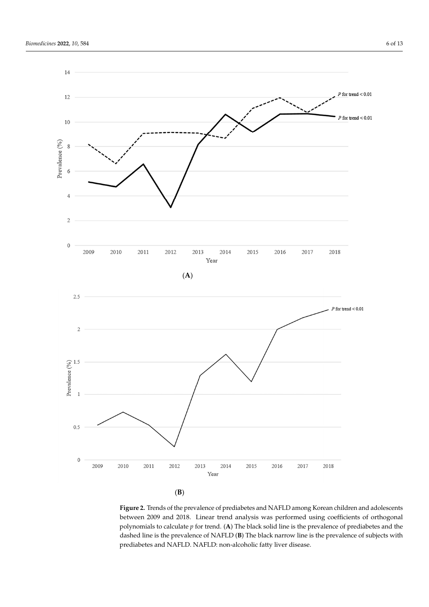<span id="page-5-0"></span>

(**B**)

Figure 2. Trends of the prevalence of prediabetes and NAFLD among Korean children and adolescents between 2009 and 2018. Linear trend analysis was performed using coefficients of orthogonal polynomials to calculate  $p$  for trend. (A) The black solid line is the prevalence of prediabetes and the portional to cheminary the prevalence of  $\mathbf{B}$  The black narrow line is the prevalence of predictives with the dashed line is the prevalence of NAFLD (**B**) The black narrow line is the prevalence of subjects with prediabetes and NAFLD. NAFLD: non-alcoholic fatty liver disease.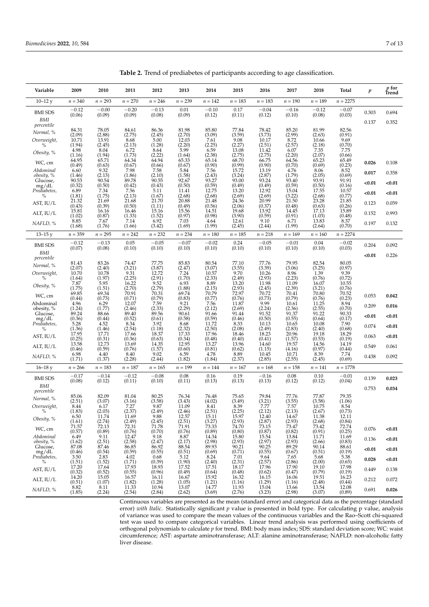| Variable                | 2009                | 2010                          | 2011                | 2012                           | 2013                | 2014                | 2015                      | 2016                | 2017                | 2018                | Total             | $\boldsymbol{p}$ | $p_{\text{fend}}$ |
|-------------------------|---------------------|-------------------------------|---------------------|--------------------------------|---------------------|---------------------|---------------------------|---------------------|---------------------|---------------------|-------------------|------------------|-------------------|
| $10 - 12y$              | $n = 340$           | $n = 293$                     | $n = 270$           | $n = 246$                      | $n = 239$           | $n = 142$           | $n = 183$                 | $n = 183$           | $n = 190$           | $n = 189$           | $n = 2275$        |                  |                   |
| <b>BMI SDS</b>          | $-0.12$<br>(0.06)   | $-0.00$<br>(0.09)             | $-0.20$<br>(0.09)   | $-0.13$<br>(0.08)              | 0.01<br>(0.09)      | $-0.10$<br>(0.12)   | 0.17<br>(0.11)            | $-0.04$<br>(0.12)   | $-0.16$<br>(0.10)   | $-0.12$<br>(0.08)   | $-0.07$<br>(0.03) | 0.303            | 0.694             |
| <b>BMI</b>              |                     |                               |                     |                                |                     |                     |                           |                     |                     |                     |                   | 0.137            | 0.352             |
| percentile<br>Normal, % | 84.31               | 78.05                         | 84.61               | 86.36                          | 81.98               | 85.80               | 77.84                     | 78.42               | 85.20               | 81.99               | 82.56             |                  |                   |
| Overweight,             | (2.09)<br>10.71     | (2.88)<br>13.91               | (2.75)<br>8.68      | (2.45)<br>5.00                 | (2.70)<br>12.03     | (3.09)<br>7.61      | (3.59)<br>9.08            | (3.73)<br>10.17     | (2.99)<br>8.72      | (2.63)<br>10.66     | (0.91)<br>9.69    |                  |                   |
| $\%$                    | (1.94)<br>4.98      | (2.45)<br>8.04                | (2.13)<br>6.72      | (1.28)<br>8.64                 | (2.20)<br>5.99      | (2.25)<br>6.59      | (2.27)<br>13.08           | (2.51)<br>11.42     | (2.57)<br>6.07      | (2.18)<br>7.35      | (0.70)<br>7.75    |                  |                   |
| Obesity, %              | (1.16)              | (1.94)                        | (1.73)              | $(2.22)$<br>$64.94$            | (1.64)              | (2.38)              | $(2.75)$<br>68.70         | (2.75)              | (2.20)              | (2.07)              | (0.66)            |                  |                   |
| WC, cm                  | 64.95<br>(0.49)     | 65.71<br>(0.63)               | 64.34<br>(0.67)     | (0.66)                         | 65.33<br>(0.67)     | 65.14<br>(0.90)     | (0.99)                    | 66.75<br>(0.90)     | 64.56<br>(0.70)     | 65.23<br>(0.69)     | 65.49<br>(0.23)   | 0.026            | 0.108             |
| Abdominal<br>obesity, % | 6.60<br>(1.46)      | 9.32<br>(2.13)                | 7.98<br>(1.86)      | 7.58<br>(2.10)                 | 5.84<br>(1.58)      | 7.56<br>(2.43)      | 15.72<br>(3.24)           | 13.19<br>(2.87)     | 4.76<br>(1.79)      | 8.06<br>(2.05)      | 8.52<br>(0.69)    | 0.017            | 0.358             |
| Glucose,                | 90.53<br>(0.32)     | 90.54<br>(0.50)               | 89.78<br>(0.42)     | 90.55<br>(0.43)                | 92.67<br>(0.50)     | 93.27<br>(0.59)     | 93.00<br>(0.49)           | 93.24<br>(0.49)     | 93.40<br>(0.59)     | 93.91<br>(0.50)     | 91.91<br>(0.16)   | < 0.01           | < 0.01            |
| mg/dL<br>Prediabetes,   | 6.89                | 7.34                          | 7.56                | 5.11                           | 11.41               | 12.75               | 13.20                     | 12.92               | 15.04               | 17.55               | 10.57             | < 0.01           | $0.01$            |
| $\%$                    | (1.81)<br>21.32     | (1.75)<br>21.69               | (2.13)<br>21.68     | (1.67)<br>21.70                | (2.68)<br>20.88     | (2.68)<br>21.48     | (2.69)<br>24.36           | (2.69)<br>20.99     | (3.22)<br>21.50     | (2.68)<br>23.28     | (0.77)<br>21.85   |                  |                   |
| AST, IU/L               | (0.43)<br>15.81     | (0.39)<br>16.16               | (0.50)<br>16.46     | (1.11)<br>15.16                | (0.49)<br>15.56     | (0.56)<br>14.51     | (2.06)<br>19.68           | (0.37)<br>13.92     | (0.48)<br>14.45     | (0.63)<br>17.13     | (0.26)<br>15.89   | 0.123            | 0.059             |
| ALT, IU/L               | (1.02)              | (0.87)                        | (1.33)              | (1.52)                         | (0.97)              | (0.98)              | (3.90)                    | (0.59)              | (0.91)              | (1.03)              | (0.48)            | 0.152            | 0.993             |
| NAFLD, %                | 8.85<br>(1.68)      | 7.67<br>(1.76)                | 7.14<br>(1.66)      | 6.92<br>(3.42)                 | 7.03<br>(1.69)      | 4.64<br>(1.99)      | 12.61<br>(2.45)           | 9.10<br>(2.44)      | 6.71<br>(1.99)      | 13.83<br>(2.64)     | 8.37<br>(0.70)    | 0.197            | 0.132             |
| $13 - 15y$              | $n = 359$           | $n = 295$                     | $n = 242$           | $n = 232$                      | $n = 234$           | $n = 180$           | $n = 185$                 | $n = 218$           | $n = 169$           | $n = 160$           | $n = 2274$        |                  |                   |
| <b>BMI SDS</b>          | $-0.12$<br>(0.07)   | $-0.13$<br>(0.08)             | 0.05<br>(0.10)      | $-0.05$<br>(0.10)              | $-0.07$<br>(0.10)   | $-0.02$<br>(0.10)   | 0.24<br>(0.10)            | $-0.05$<br>(0.10)   | $-0.01$<br>(0.10)   | 0.04<br>(0.10)      | $-0.02$<br>(0.03) | 0.204            | 0.092             |
| BMI<br>percentile       |                     |                               |                     |                                |                     |                     |                           |                     |                     |                     |                   | < 0.01           | 0.226             |
| Normal, %               | 81.43               | 83.26                         | 74.47               | 77.75                          | 85.83               | 80.54               | 77.10                     | 77.76               | 79.95               | 82.54               | 80.05             |                  |                   |
| Overweight,             | (2.07)<br>10.70     | (2.40)<br>10.78               | (3.21)<br>9.31      | (3.87)<br>12.72                | (2.47)<br>7.24      | (3.07)<br>10.57     | (3.55)<br>9.70            | (3.39)<br>10.26     | (3.06)<br>8.96      | (3.25)<br>1.39      | (0.97)<br>9.39    |                  |                   |
| $\%$                    | (1.64)<br>7.87      | (1.97)<br>5.95                | (2.25)<br>16.22     | (2.91)<br>9.52                 | (1.70)<br>6.93      | (2.33)<br>8.89      | (2.49)<br>13.20           | (2.93)<br>11.98     | (2.23)<br>11.09     | (0.76)<br>16.07     | (0.72)<br>10.55   |                  |                   |
| Obesity, %              | (1.75)              | (1.51)                        | (2.70)              | (2.79)                         | (1.88)              | (2.15)              | (2.93)                    | (2.45)              | (2.39)              | (3.21)              | (0.76)            |                  |                   |
| WC, cm                  | 69.85<br>(0.44)     | 69.34<br>(0.73)               | 70.91<br>(0.71)     | 70.31<br>(0.79)                | 69.74<br>(0.83)     | 70.79<br>(0.77)     | 72.97<br>(0.76)           | 70.72<br>(0.73)     | 70.41<br>(0.79)     | 70.80<br>(0.76)     | 70.52<br>(0.23)   | 0.053            | 0.042             |
| Abdominal<br>obesity, % | 4.96<br>(1.24)      | 6.29<br>(1.77)                | 12.07<br>(2.46)     | 7.59<br>(2.33)                 | 9.21<br>(2.29)      | 7.56<br>(2.12)      | 11.87<br>(2.69)           | 9.99<br>(2.24)      | 10.61<br>(2.36)     | 11.25<br>(2.55)     | 8.94<br>(0.70)    | 0.209            | 0.016             |
| Glucose,                | 89.24               | 88.66                         | 89.40               | 89.56                          | 90.61               | 91.66               | 91.44                     | 91.52               | 91.37               | 91.22               | 90.33             | < 0.01           | $0.01$            |
| mg/dL<br>Prediabetes,   | (0.36)<br>5.28      | (0.44)<br>4.52                | (0.52)<br>8.34      | (0.61)<br>3.92                 | (0.58)<br>8.68      | (0.59)<br>11.72     | (0.46)<br>8.33            | (0.50)<br>10.13     | (0.55)<br>10.65     | (0.64)<br>10.08     | (0.17)<br>7.90    | 0.074            | < 0.01            |
| $\%$                    | (1.36)<br>17.95     | (1.46)<br>17.71               | (2.54)<br>17.66     | (1.18)<br>18.37                | (2.32)<br>17.33     | (2.50)<br>17.96     | (2.08)<br>18.46           | (2.49)<br>18.23     | (2.83)<br>20.96     | (2.40)<br>19.18     | (0.68)<br>18.29   |                  |                   |
| AST, IU/L               | $(0.25)$<br>$13.58$ | (0.31)<br>12.73               | (0.36)<br>13.69     | (0.63)<br>14.35                | (0.34)<br>12.95     | (0.48)<br>13.27     | (0.40)<br>13.96           | (0.41)<br>14.60     | (1.57)<br>19.57     | (0.53)<br>14.56     | (0.19)<br>14.19   | 0.063            | < 0.01            |
| $ALT$ , $IU/L$          | (0.46)              | (0.59)                        | (0.76)              | (1.57)                         | (0.60)              | (0.81)              | (0.62)                    | (1.15)              | (4.16)              | (0.97)              | (0.44)            | 0.549            | 0.061             |
| NAFLD, %                | 6.98<br>(1.71)      | 4.40<br>(1.37)                | 8.40<br>(2.28)      | 9.02<br>(2.44)                 | 6.59<br>(1.82)      | 4.78<br>(1.84)      | 8.89<br>(2.37)            | 10.45<br>(2.85)     | 10.71<br>(2.55)     | 8.39<br>(2.45)      | 7.74<br>(0.69)    | 0.438            | 0.092             |
| $16 - 18y$              | $n = 266$           | $n = 183$                     | $n = 187$           | $n = 165$                      | $n = 199$           | $n = 144$           | $n = 167$                 | $n = 168$           | $n = 158$           | $n = 141$           | $n=1778$          |                  |                   |
| <b>BMI SDS</b>          | $-0.17$             | $-0.14$                       | $-0.12$             | $-0.08$                        | 0.08                | 0.16                | 0.19                      | $-0.16$             | 0.08                | 0.10                | $-0.01$           | 0.139            | 0.023             |
| BMI                     | (0.08)              | (0.12)                        | (0.11)              | (0.10)                         | (0.11)              | (0.13)              | (0.13)                    | (0.13)              | (0.12)              | (0.12)              | (0.04)            | 0.753            | 0.034             |
| percentile              | 85.06               | 82.09                         | 81.04               | 80.25                          | 76.34               | 76.48               | 75.65                     | 79.84               | 77.76               | 77.87               | 79.35             |                  |                   |
| Normal, %               | (2.51)              | (3.07)                        | (3.16)              | (3.58)                         | (3.43)              | (4.02)              | (3.49)                    | (3.21)              | (3.55)              | (3.58)              | (1.06)            |                  |                   |
| Overweight,<br>$\%$     | 8.44<br>(1.83)      | 6.17<br>(2.03)                | 7.27<br>(2.37)      | 9.87<br>(2.49)                 | 11.09<br>(2.46)     | 8.41<br>(2.51)      | 8.39<br>$(2.25)$<br>15.97 | 7.77<br>(2.12)      | 7.57<br>(2.13)      | 10.75<br>(2.67)     | 8.54<br>(0.73)    |                  |                   |
| Obesity, %              | 6.50                | 11.74                         | 11.69               | 9.88                           | 12.57               | 15.11               |                           | 12.40               | 14.67               | 11.38               | 12.11             |                  |                   |
| WC, cm                  | $(1.61)$<br>71.57   | $(2.74)$<br>$72.13$           | $(2.49)$<br>$72.31$ | $(2.45)$<br>$71.78$            | $(2.51)$<br>$71.91$ | $(3.27)$<br>$73.33$ | $(2.93)$<br>$74.70$       | $(2.87)$<br>$73.15$ | $(2.93)$<br>$73.47$ | $(2.68)$<br>$73.42$ | $(0.84)$<br>72.74 | 0.076            | < 0.01            |
| Abdominal               | (0.57)<br>6.49      | (0.89)<br>9.11                | (0.76)<br>12.47     | (0.70)<br>9.18                 | (0.76)<br>8.87      | (0.89)<br>14.34     | (0.80)<br>15.80           | (0.87)<br>15.54     | (0.82)<br>13.84     | (0.91)<br>11.71     | (0.25)<br>11.69   | 0.136            | < 0.01            |
| obesity, %<br>Glucose,  | (1.62)<br>87.08     | (2.51)<br>87.46               | (2.58)<br>86.85     | (2.47)<br>86.92                | (2.17)<br>88.54     | (2.98)<br>89.93     | (2.93)<br>90.21           | $(2.97)$<br>$90.25$ | (2.93)<br>89.29     | $(2.66)$<br>90.14   | (0.83)<br>88.61   |                  |                   |
| mg/dL<br>Prediabetes,   | (0.46)<br>3.50      | (0.54)<br>2.83                | (0.59)<br>4.02      | (0.55)                         | (0.51)<br>5.12      | (0.69)<br>8.24      | (0.71)<br>7.01            | (0.55)<br>9.64      | (0.67)<br>7.65      | (0.51)<br>5.68      | (0.19)<br>5.38    | < 0.01           | < 0.01            |
| $\%$                    | $(1.51)$<br>$17.20$ | $(1.52)$<br>$17.64$           | $(1.71)$<br>$17.93$ | 0.68<br>$(0.39)$<br>$18.93$    | (1.90)              | (2.40)              | $(2.31)$<br>$18.17$       | $(2.57)$<br>$17.96$ | $(2.86)$<br>$17.90$ | $(2.00)$<br>$19.10$ | (0.65)            | 0.028            | < 0.01            |
| AST, IU/L               | (0.32)              | (0.52)                        | (0.55)              | (0.96)                         | 17.52<br>(0.49)     | 17.51<br>(0.64)     | (0.48)                    | (0.62)              | (0.47)              | (0.79)              | 17.98<br>(0.19)   | 0.449            | 0.138             |
| $ALT$ , $IU/L$          | 14.20<br>(0.51)     | 15.05<br>(1.07)               | 16.57<br>(1.82)     | $16.11$<br>$(1.28)$<br>$10.94$ | 16.67<br>(1.05)     | 15.92<br>(1.21)     | 16.32<br>(1.16)           | $16.15$<br>(1.29)   | 16.06<br>(1.16)     | 19.51<br>(2.48)     | 16.23<br>(0.44)   | 0.212            | 0.072             |
| NAFLD, %                | 8.82<br>(1.85)      | $\left[8.11\right]$<br>(2.24) | 11.33<br>(2.54)     | (2.84)                         | 13.07<br>(2.62)     | 14.77<br>(3.69)     | 11.93<br>(2.76)           | 15.04<br>(3.23)     | 13.66<br>(2.98)     | 13.54<br>(3.07)     | 12.08<br>(0.89)   | 0.691            | 0.026             |

<span id="page-6-0"></span>**Table 2.** Trend of prediabetes of participants according to age classification.

Continuous variables are presented as the mean (standard error) and categorical data as the percentage (standard error) *with Italic*. Statistically significant *p* value is presented in bold type. For calculating p value, analysis of variance was used to compare the mean values of the continuous variables and the Rao–Scott chi-squared test was used to compare categorical variables. Linear trend analysis was performed using coefficients of orthogonal polynomials to calculate *p* for trend. BMI: body mass index; SDS: standard deviation score; WC: waist circumference; AST: aspartate aminotransferase; ALT: alanine aminotransferase; NAFLD: non-alcoholic fatty liver disease.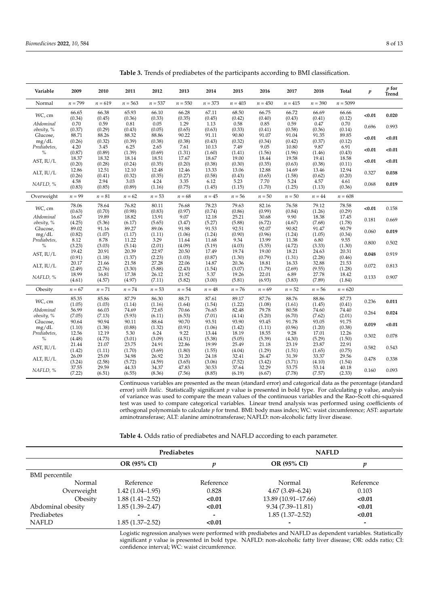| $n = 373$<br>$n = 403$<br>$n = 390$<br>Normal<br>$n = 799$<br>$n = 619$<br>$n = 563$<br>$n = 537$<br>$n = 550$<br>$n = 450$<br>$n = 415$<br>$n = 5099$<br>66.65<br>66.38<br>65.93<br>66.28<br>67.11<br>68.50<br>66.75<br>66.72<br>66.69<br>66.66<br>66.10<br>WC, cm<br>< 0.01<br>(0.35)<br>(0.34)<br>(0.45)<br>(0.36)<br>(0.33)<br>(0.45)<br>(0.42)<br>(0.40)<br>(0.43)<br>(0.12)<br>(0.41)<br>0.59<br>0.70<br>0.81<br>0.05<br>1.29<br>0.58<br>0.85<br>0.59<br>0.47<br>0.70<br>Abdominal<br>1.13<br>0.696<br>(0.29)<br>(0.37)<br>(0.43)<br>(0.05)<br>(0.65)<br>(0.63)<br>(0.33)<br>(0.41)<br>(0.58)<br>(0.36)<br>(0.14)<br>obesity, %<br>88.26<br>90.22<br>91.07<br>89.85<br>88.71<br>88.32<br>88.86<br>91.11<br>90.80<br>91.04<br>91.35<br>Glucose,<br>< 0.01<br>(0.34)<br>(0.26)<br>(0.32)<br>(0.39)<br>(0.38)<br>(0.38)<br>(0.43)<br>(0.32)<br>(0.42)<br>(0.37)<br>(0.12)<br>mg/dL<br>9.05<br>6.91<br>4.20<br>3.45<br>6.25<br>7.61<br>10.13<br>7.49<br>10.80<br>9.87<br>Prediabetes,<br>2.65<br>< 0.01<br>$\%$<br>(0.87)<br>(0.89)<br>(1.39)<br>(0.69)<br>(1.31)<br>(1.60)<br>(0.43)<br>(1.41)<br>(1.56)<br>(1.96)<br>(1.46) | Trend<br>0.020<br>0.993<br>< 0.01<br>< 0.01<br>< 0.01<br>0.038<br>0.019 |
|---------------------------------------------------------------------------------------------------------------------------------------------------------------------------------------------------------------------------------------------------------------------------------------------------------------------------------------------------------------------------------------------------------------------------------------------------------------------------------------------------------------------------------------------------------------------------------------------------------------------------------------------------------------------------------------------------------------------------------------------------------------------------------------------------------------------------------------------------------------------------------------------------------------------------------------------------------------------------------------------------------------------------------------------------------------------------------------------------------------------------------|-------------------------------------------------------------------------|
|                                                                                                                                                                                                                                                                                                                                                                                                                                                                                                                                                                                                                                                                                                                                                                                                                                                                                                                                                                                                                                                                                                                                 |                                                                         |
|                                                                                                                                                                                                                                                                                                                                                                                                                                                                                                                                                                                                                                                                                                                                                                                                                                                                                                                                                                                                                                                                                                                                 |                                                                         |
|                                                                                                                                                                                                                                                                                                                                                                                                                                                                                                                                                                                                                                                                                                                                                                                                                                                                                                                                                                                                                                                                                                                                 |                                                                         |
|                                                                                                                                                                                                                                                                                                                                                                                                                                                                                                                                                                                                                                                                                                                                                                                                                                                                                                                                                                                                                                                                                                                                 |                                                                         |
|                                                                                                                                                                                                                                                                                                                                                                                                                                                                                                                                                                                                                                                                                                                                                                                                                                                                                                                                                                                                                                                                                                                                 |                                                                         |
| 18.37<br>18.32<br>18.14<br>18.51<br>17.67<br>18.67<br>19.00<br>18.44<br>19.58<br>18.58<br>19.41<br>AST, IU/L<br>< 0.01                                                                                                                                                                                                                                                                                                                                                                                                                                                                                                                                                                                                                                                                                                                                                                                                                                                                                                                                                                                                          |                                                                         |
| (0.20)<br>(0.28)<br>(0.24)<br>(0.35)<br>(0.20)<br>(0.38)<br>(0.30)<br>(0.35)<br>(0.63)<br>(0.38)<br>(0.11)<br>12.51<br>12.10<br>12.46<br>13.33<br>12.88<br>12.94<br>12.86<br>12.48<br>13.06<br>14.69<br>13.46                                                                                                                                                                                                                                                                                                                                                                                                                                                                                                                                                                                                                                                                                                                                                                                                                                                                                                                   |                                                                         |
| ALT, $IU/L$<br>0.327<br>(0.26)<br>(0.41)<br>(0.32)<br>(0.35)<br>(0.27)<br>(0.58)<br>(0.65)<br>(1.58)<br>(0.62)<br>(0.20)<br>(0.43)<br>4.58<br>2.94<br>3.03<br>4.24<br>3.35<br>6.12<br>5.23<br>7.70<br>5.24<br>4.57<br>4.61                                                                                                                                                                                                                                                                                                                                                                                                                                                                                                                                                                                                                                                                                                                                                                                                                                                                                                      |                                                                         |
| NAFLD, %<br>0.068<br>(0.83)<br>(0.85)<br>(0.89)<br>(0.75)<br>(1.45)<br>(1.25)<br>(1.16)<br>(1.15)<br>(1.70)<br>(1.13)<br>(0.36)                                                                                                                                                                                                                                                                                                                                                                                                                                                                                                                                                                                                                                                                                                                                                                                                                                                                                                                                                                                                 |                                                                         |
| $n = 99$<br>$n = 81$<br>$n = 62$<br>$n = 45$<br>$n = 56$<br>$n=50$<br>$n=50$<br>$n = 608$<br>Overweight<br>$n = 53$<br>$n = 68$<br>$n = 44$                                                                                                                                                                                                                                                                                                                                                                                                                                                                                                                                                                                                                                                                                                                                                                                                                                                                                                                                                                                     |                                                                         |
| 78.64<br>82.16<br>78.58<br>78.06<br>76.82<br>80.11<br>76.68<br>78.23<br>79.63<br>76.58<br>79.12<br>WC, cm<br>< 0.01<br>(0.70)<br>(0.97)<br>(0.99)<br>(0.29)<br>(0.63)<br>(0.98)<br>(0.83)<br>(0.74)<br>(0.86)<br>(0.84)<br>(1.26)                                                                                                                                                                                                                                                                                                                                                                                                                                                                                                                                                                                                                                                                                                                                                                                                                                                                                               | 0.158                                                                   |
| 9.07<br>9.90<br>Abdominal<br>16.67<br>19.89<br>18.82<br>13.91<br>12.18<br>25.21<br>30.68<br>18.38<br>17.45<br>0.181<br>(4.25)<br>(5.36)<br>(5.65)<br>(5.88)<br>(6.72)<br>(4.67)<br>(1.78)<br>obesity, %<br>(6.17)<br>(3.47)<br>(5.27)<br>(7.68)                                                                                                                                                                                                                                                                                                                                                                                                                                                                                                                                                                                                                                                                                                                                                                                                                                                                                 | 0.669                                                                   |
| 89.02<br>89.27<br>91.98<br>92.07<br>90.79<br>Glucose,<br>91.16<br>89.06<br>91.53<br>92.51<br>90.82<br>91.47<br>0.060<br>(0.96)<br>(0.34)<br>(0.82)<br>(1.07)<br>(1.17)<br>(1.06)<br>(1.24)<br>(0.90)<br>(1.24)<br>(1.05)<br>mg/dL<br>(1.11)                                                                                                                                                                                                                                                                                                                                                                                                                                                                                                                                                                                                                                                                                                                                                                                                                                                                                     | 0.019                                                                   |
| 8.78<br>13.99<br>9.55<br>Prediabetes,<br>8.12<br>11.22<br>3.29<br>11.64<br>11.68<br>9.34<br>11.38<br>6.80<br>0.800<br>(3.23)<br>(4.09)<br>(1.30)<br>$\%$<br>(3.03)<br>(5.14)<br>(2.01)<br>(5.19)<br>(4.03)<br>(5.35)<br>(4.72)<br>(3.33)                                                                                                                                                                                                                                                                                                                                                                                                                                                                                                                                                                                                                                                                                                                                                                                                                                                                                        | 0.502                                                                   |
| 19.42<br>20.91<br>20.39<br>22.97<br>17.49<br>19.00<br>20.31<br>20.50<br>19.74<br>18.21<br>24.63<br>AST, IU/L<br>0.048<br>(0.91)<br>(1.18)<br>(1.37)<br>(2.23)<br>(1.03)<br>(0.87)<br>(1.30)<br>(0.79)<br>(1.31)<br>(2.28)<br>(0.46)                                                                                                                                                                                                                                                                                                                                                                                                                                                                                                                                                                                                                                                                                                                                                                                                                                                                                             | 0.919                                                                   |
| 22.06<br>20.17<br>21.66<br>21.58<br>27.28<br>14.87<br>20.36<br>18.81<br>16.33<br>32.88<br>21.53<br>0.072<br>$ALT$ , $IU/L$                                                                                                                                                                                                                                                                                                                                                                                                                                                                                                                                                                                                                                                                                                                                                                                                                                                                                                                                                                                                      | 0.813                                                                   |
| (2.49)<br>(3.30)<br>(5.88)<br>(2.43)<br>(1.79)<br>(2.69)<br>(1.28)<br>(2.76)<br>(1.54)<br>(3.07)<br>(9.55)<br>18.99<br>16.81<br>17.38<br>21.92<br>5.37<br>19.26<br>22.01<br>6.89<br>18.42<br>26.12<br>27.78<br>0.133<br>NAFLD, %                                                                                                                                                                                                                                                                                                                                                                                                                                                                                                                                                                                                                                                                                                                                                                                                                                                                                                | 0.907                                                                   |
| (4.57)<br>(4.97)<br>(7.11)<br>(5.82)<br>(3.00)<br>(6.93)<br>(3.83)<br>(1.84)<br>(4.61)<br>(5.81)<br>(7.89)<br>$n = 67$<br>$n = 71$<br>$n = 74$<br>$n = 53$<br>$n = 54$<br>$n = 48$<br>$n = 76$<br>$n = 69$<br>$n = 52$<br>$n = 56$<br>$n = 620$                                                                                                                                                                                                                                                                                                                                                                                                                                                                                                                                                                                                                                                                                                                                                                                                                                                                                 |                                                                         |
| Obesity                                                                                                                                                                                                                                                                                                                                                                                                                                                                                                                                                                                                                                                                                                                                                                                                                                                                                                                                                                                                                                                                                                                         |                                                                         |
| 85.86<br>87.79<br>88.71<br>88.76<br>85.35<br>86.30<br>87.61<br>89.17<br>87.76<br>88.86<br>87.73<br>WC, cm<br>0.236<br>(1.05)<br>(1.03)<br>(1.54)<br>(1.08)<br>(1.61)<br>(0.41)<br>(1.14)<br>(1.16)<br>(1.64)<br>(1.22)<br>(1.45)                                                                                                                                                                                                                                                                                                                                                                                                                                                                                                                                                                                                                                                                                                                                                                                                                                                                                                | 0.011                                                                   |
| 79.78<br>Abdominal<br>56.99<br>66.03<br>70.66<br>80.58<br>74.40<br>74.69<br>72.65<br>76.65<br>82.48<br>74.60<br>0.264<br>(2.01)<br>obesity, %<br>(7.05)<br>(7.13)<br>(5.93)<br>(6.11)<br>(6.53)<br>(7.01)<br>(5.20)<br>(6.70)<br>(7.62)<br>(4.14)                                                                                                                                                                                                                                                                                                                                                                                                                                                                                                                                                                                                                                                                                                                                                                                                                                                                               | 0.024                                                                   |
| 90.94<br>88.64<br>90.70<br>93.51<br>93.45<br>91.75<br>90.64<br>90.11<br>93.90<br>91.78<br>93.05<br>Glucose,<br>0.019<br>(0.38)<br>mg/dL<br>(1.10)<br>(1.38)<br>(0.88)<br>(1.32)<br>(0.91)<br>(1.06)<br>(1.11)<br>(0.96)<br>(1.20)<br>(1.42)                                                                                                                                                                                                                                                                                                                                                                                                                                                                                                                                                                                                                                                                                                                                                                                                                                                                                     | < 0.01                                                                  |
| 12.19<br>9.22<br>18.55<br>9.28<br>12.26<br>Prediabetes,<br>12.56<br>5.30<br>6.24<br>13.44<br>18.19<br>17.01<br>0.302<br>$\%$<br>(3.09)<br>(4.51)<br>(5.38)<br>(5.39)<br>(4.30)<br>(5.29)<br>(1.50)<br>(4.48)<br>(4.73)<br>(3.01)<br>(5.05)                                                                                                                                                                                                                                                                                                                                                                                                                                                                                                                                                                                                                                                                                                                                                                                                                                                                                      | 0.078                                                                   |
| 21.07<br>23.75<br>24.91<br>22.86<br>19.99<br>21.18<br>23.19<br>23.87<br>22.91<br>21.44<br>25.49<br>AST, IU/L<br>0.582                                                                                                                                                                                                                                                                                                                                                                                                                                                                                                                                                                                                                                                                                                                                                                                                                                                                                                                                                                                                           | 0.543                                                                   |
| (1.42)<br>(1.11)<br>(1.70)<br>(3.69)<br>(1.80)<br>(1.55)<br>(4.04)<br>(1.29)<br>(1.51)<br>(0.75)<br>(1.65)<br>25.09<br>26.47<br>29.56<br>26.09<br>34.98<br>26.92<br>31.20<br>24.18<br>32.41<br>31.39<br>33.37<br>0.478<br>ALT, IU/L                                                                                                                                                                                                                                                                                                                                                                                                                                                                                                                                                                                                                                                                                                                                                                                                                                                                                             | 0.338                                                                   |
| (1.54)<br>(3.24)<br>(2.58)<br>(5.72)<br>(4.59)<br>(3.65)<br>(7.52)<br>(3.42)<br>(3.71)<br>(3.06)<br>(4.10)<br>29.59<br>47.83<br>32.29<br>40.18<br>37.55<br>44.33<br>34.37<br>30.53<br>37.64<br>53.75<br>53.14<br>0.160<br>NAFLD, %<br>(7.22)<br>(6.51)<br>(7.56)<br>(8.85)<br>(7.78)<br>(2.33)<br>(6.55)<br>(8.36)<br>(6.19)<br>(6.67)<br>(7.57)                                                                                                                                                                                                                                                                                                                                                                                                                                                                                                                                                                                                                                                                                                                                                                                | 0.093                                                                   |

<span id="page-7-0"></span>**Table 3.** Trends of prediabetes of the participants according to BMI classification.

Continuous variables are presented as the mean (standard error) and categorical data as the percentage (standard error) *with Italic*. Statistically significant *p* value is presented in bold type. For calculating p value, analysis of variance was used to compare the mean values of the continuous variables and the Rao–Scott chi-squared test was used to compare categorical variables. Linear trend analysis was performed using coefficients of orthogonal polynomials to calculate *p* for trend. BMI: body mass index; WC: waist circumference; AST: aspartate aminotransferase; ALT: alanine aminotransferase; NAFLD: non-alcoholic fatty liver disease.

<span id="page-7-1"></span>**Table 4.** Odds ratio of prediabetes and NAFLD according to each parameter.

|                       | Prediabetes              |           | <b>NAFLD</b>             |           |  |  |
|-----------------------|--------------------------|-----------|--------------------------|-----------|--|--|
|                       | <b>OR (95% CI)</b>       |           | OR (95% CI)              |           |  |  |
| <b>BMI</b> percentile |                          |           |                          |           |  |  |
| Normal                | Reference                | Reference | Normal                   | Reference |  |  |
| Overweight            | $1.42(1.04-1.95)$        | 0.828     | $4.67(3.49 - 6.24)$      | 0.103     |  |  |
| Obesity               | $1.88(1.41 - 2.52)$      | < 0.01    | 13.89 (10.91–17.66)      | < 0.01    |  |  |
| Abdominal obesity     | $1.85(1.39 - 2.47)$      | < 0.01    | $9.34(7.39 - 11.81)$     | < 0.01    |  |  |
| Prediabetes           | $\overline{\phantom{0}}$ | -         | $1.85(1.37-2.52)$        | < 0.01    |  |  |
| <b>NAFLD</b>          | $1.85(1.37-2.52)$        | < 0.01    | $\overline{\phantom{0}}$ |           |  |  |

Logistic regression analyses were performed with prediabetes and NAFLD as dependent variables. Statistically significant *p* value is presented in bold type. NAFLD: non-alcoholic fatty liver disease; OR: odds ratio; CI: confidence interval; WC: waist circumference.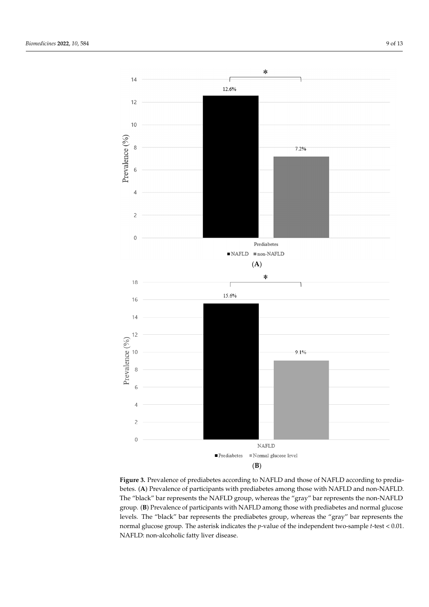<span id="page-8-0"></span>

**Figure 3.** Prevalence of prediabetes according to NAFLD and those of NAFLD according to predia-**Figure 3.** Prevalence of prediabetes according to NAFLD and those of NAFLD according to prediabetes. (**A**) Prevalence of participants with prediabetes among those with NAFLD and non-NAFLD. betes. (**A**) Prevalence of participants with prediabetes among those with NAFLD and non-NAFLD. The "black" bar represents the NAFLD group, whereas the "gray" bar represents the non-NAFLD The "black" bar represents the NAFLD group, whereas the "gray" bar represents the non-NAFLD group. (**B**) Prevalence of participants with NAFLD among those with prediabetes and normal glugroup. (**B**) Prevalence of participants with NAFLD among those with prediabetes and normal glucose levels. The "black" bar represents the prediabetes group, whereas the "gray" bar represents the normal glucose group. The asterisk indicates the *p*-value of the independent two-sample *t*-test < 0.01. NAFLD: non-alcoholic fatty liver disease.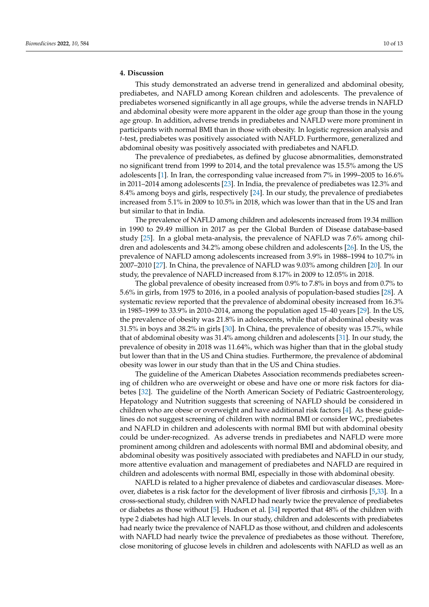## **4. Discussion**

This study demonstrated an adverse trend in generalized and abdominal obesity, prediabetes, and NAFLD among Korean children and adolescents. The prevalence of prediabetes worsened significantly in all age groups, while the adverse trends in NAFLD and abdominal obesity were more apparent in the older age group than those in the young age group. In addition, adverse trends in prediabetes and NAFLD were more prominent in participants with normal BMI than in those with obesity. In logistic regression analysis and *t*-test, prediabetes was positively associated with NAFLD. Furthermore, generalized and abdominal obesity was positively associated with prediabetes and NAFLD.

The prevalence of prediabetes, as defined by glucose abnormalities, demonstrated no significant trend from 1999 to 2014, and the total prevalence was 15.5% among the US adolescents [\[1\]](#page-11-0). In Iran, the corresponding value increased from 7% in 1999–2005 to 16.6% in 2011–2014 among adolescents [\[23\]](#page-12-1). In India, the prevalence of prediabetes was 12.3% and 8.4% among boys and girls, respectively [\[24\]](#page-12-2). In our study, the prevalence of prediabetes increased from 5.1% in 2009 to 10.5% in 2018, which was lower than that in the US and Iran but similar to that in India.

The prevalence of NAFLD among children and adolescents increased from 19.34 million in 1990 to 29.49 million in 2017 as per the Global Burden of Disease database-based study [\[25\]](#page-12-3). In a global meta-analysis, the prevalence of NAFLD was 7.6% among children and adolescents and 34.2% among obese children and adolescents [\[26\]](#page-12-4). In the US, the prevalence of NAFLD among adolescents increased from 3.9% in 1988–1994 to 10.7% in 2007–2010 [\[27\]](#page-12-5). In China, the prevalence of NAFLD was 9.03% among children [\[20\]](#page-11-19). In our study, the prevalence of NAFLD increased from 8.17% in 2009 to 12.05% in 2018.

The global prevalence of obesity increased from 0.9% to 7.8% in boys and from 0.7% to 5.6% in girls, from 1975 to 2016, in a pooled analysis of population-based studies [\[28\]](#page-12-6). A systematic review reported that the prevalence of abdominal obesity increased from 16.3% in 1985–1999 to 33.9% in 2010–2014, among the population aged 15–40 years [\[29\]](#page-12-7). In the US, the prevalence of obesity was 21.8% in adolescents, while that of abdominal obesity was 31.5% in boys and 38.2% in girls [\[30\]](#page-12-8). In China, the prevalence of obesity was 15.7%, while that of abdominal obesity was 31.4% among children and adolescents [\[31\]](#page-12-9). In our study, the prevalence of obesity in 2018 was 11.64%, which was higher than that in the global study but lower than that in the US and China studies. Furthermore, the prevalence of abdominal obesity was lower in our study than that in the US and China studies.

The guideline of the American Diabetes Association recommends prediabetes screening of children who are overweight or obese and have one or more risk factors for diabetes [\[32\]](#page-12-10). The guideline of the North American Society of Pediatric Gastroenterology, Hepatology and Nutrition suggests that screening of NAFLD should be considered in children who are obese or overweight and have additional risk factors [\[4\]](#page-11-3). As these guidelines do not suggest screening of children with normal BMI or consider WC, prediabetes and NAFLD in children and adolescents with normal BMI but with abdominal obesity could be under-recognized. As adverse trends in prediabetes and NAFLD were more prominent among children and adolescents with normal BMI and abdominal obesity, and abdominal obesity was positively associated with prediabetes and NAFLD in our study, more attentive evaluation and management of prediabetes and NAFLD are required in children and adolescents with normal BMI, especially in those with abdominal obesity.

NAFLD is related to a higher prevalence of diabetes and cardiovascular diseases. Moreover, diabetes is a risk factor for the development of liver fibrosis and cirrhosis [\[5](#page-11-4)[,33\]](#page-12-11). In a cross-sectional study, children with NAFLD had nearly twice the prevalence of prediabetes or diabetes as those without [\[5\]](#page-11-4). Hudson et al. [\[34\]](#page-12-12) reported that 48% of the children with type 2 diabetes had high ALT levels. In our study, children and adolescents with prediabetes had nearly twice the prevalence of NAFLD as those without, and children and adolescents with NAFLD had nearly twice the prevalence of prediabetes as those without. Therefore, close monitoring of glucose levels in children and adolescents with NAFLD as well as an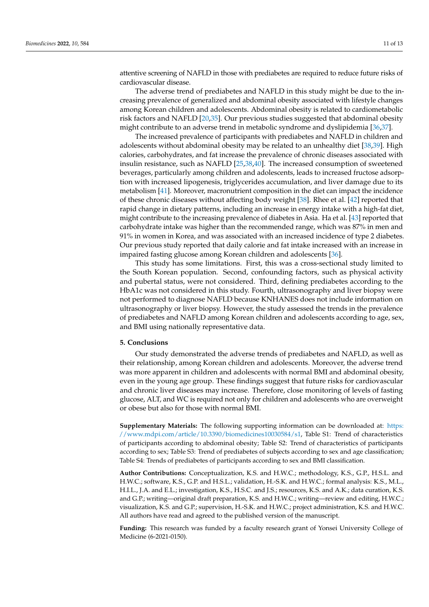attentive screening of NAFLD in those with prediabetes are required to reduce future risks of cardiovascular disease.

The adverse trend of prediabetes and NAFLD in this study might be due to the increasing prevalence of generalized and abdominal obesity associated with lifestyle changes among Korean children and adolescents. Abdominal obesity is related to cardiometabolic risk factors and NAFLD [\[20,](#page-11-19)[35\]](#page-12-13). Our previous studies suggested that abdominal obesity might contribute to an adverse trend in metabolic syndrome and dyslipidemia [\[36,](#page-12-14)[37\]](#page-12-15).

The increased prevalence of participants with prediabetes and NAFLD in children and adolescents without abdominal obesity may be related to an unhealthy diet [\[38,](#page-12-16)[39\]](#page-12-17). High calories, carbohydrates, and fat increase the prevalence of chronic diseases associated with insulin resistance, such as NAFLD [\[25](#page-12-3)[,38](#page-12-16)[,40\]](#page-12-18). The increased consumption of sweetened beverages, particularly among children and adolescents, leads to increased fructose adsorption with increased lipogenesis, triglycerides accumulation, and liver damage due to its metabolism [\[41\]](#page-12-19). Moreover, macronutrient composition in the diet can impact the incidence of these chronic diseases without affecting body weight [\[38\]](#page-12-16). Rhee et al. [\[42\]](#page-12-20) reported that rapid change in dietary patterns, including an increase in energy intake with a high-fat diet, might contribute to the increasing prevalence of diabetes in Asia. Ha et al. [\[43\]](#page-12-21) reported that carbohydrate intake was higher than the recommended range, which was 87% in men and 91% in women in Korea, and was associated with an increased incidence of type 2 diabetes. Our previous study reported that daily calorie and fat intake increased with an increase in impaired fasting glucose among Korean children and adolescents [\[36\]](#page-12-14).

This study has some limitations. First, this was a cross-sectional study limited to the South Korean population. Second, confounding factors, such as physical activity and pubertal status, were not considered. Third, defining prediabetes according to the HbA1c was not considered in this study. Fourth, ultrasonography and liver biopsy were not performed to diagnose NAFLD because KNHANES does not include information on ultrasonography or liver biopsy. However, the study assessed the trends in the prevalence of prediabetes and NAFLD among Korean children and adolescents according to age, sex, and BMI using nationally representative data.

### **5. Conclusions**

Our study demonstrated the adverse trends of prediabetes and NAFLD, as well as their relationship, among Korean children and adolescents. Moreover, the adverse trend was more apparent in children and adolescents with normal BMI and abdominal obesity, even in the young age group. These findings suggest that future risks for cardiovascular and chronic liver diseases may increase. Therefore, close monitoring of levels of fasting glucose, ALT, and WC is required not only for children and adolescents who are overweight or obese but also for those with normal BMI.

**Supplementary Materials:** The following supporting information can be downloaded at: [https:](https://www.mdpi.com/article/10.3390/biomedicines10030584/s1) [//www.mdpi.com/article/10.3390/biomedicines10030584/s1,](https://www.mdpi.com/article/10.3390/biomedicines10030584/s1) Table S1: Trend of characteristics of participants according to abdominal obesity; Table S2: Trend of characteristics of participants according to sex; Table S3: Trend of prediabetes of subjects according to sex and age classification; Table S4: Trends of prediabetes of participants according to sex and BMI classification.

**Author Contributions:** Conceptualization, K.S. and H.W.C.; methodology, K.S., G.P., H.S.L. and H.W.C.; software, K.S., G.P. and H.S.L.; validation, H.-S.K. and H.W.C.; formal analysis: K.S., M.L., H.I.L., J.A. and E.L.; investigation, K.S., H.S.C. and J.S.; resources, K.S. and A.K.; data curation, K.S. and G.P.; writing—original draft preparation, K.S. and H.W.C.; writing—review and editing, H.W.C.; visualization, K.S. and G.P.; supervision, H.-S.K. and H.W.C.; project administration, K.S. and H.W.C. All authors have read and agreed to the published version of the manuscript.

**Funding:** This research was funded by a faculty research grant of Yonsei University College of Medicine (6-2021-0150).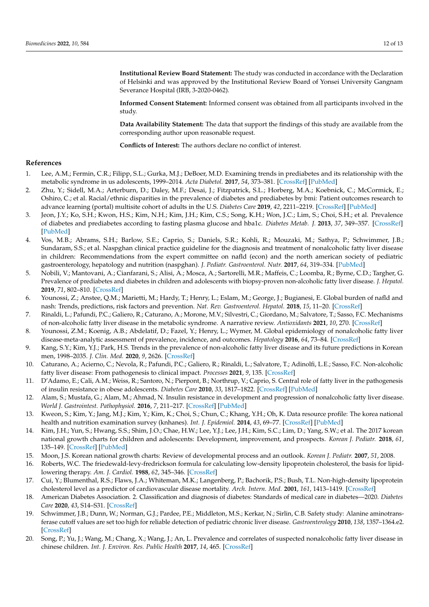**Institutional Review Board Statement:** The study was conducted in accordance with the Declaration of Helsinki and was approved by the Institutional Review Board of Yonsei University Gangnam Severance Hospital (IRB, 3-2020-0462).

**Informed Consent Statement:** Informed consent was obtained from all participants involved in the study.

**Data Availability Statement:** The data that support the findings of this study are available from the corresponding author upon reasonable request.

**Conflicts of Interest:** The authors declare no conflict of interest.

### **References**

- <span id="page-11-0"></span>1. Lee, A.M.; Fermin, C.R.; Filipp, S.L.; Gurka, M.J.; DeBoer, M.D. Examining trends in prediabetes and its relationship with the metabolic syndrome in us adolescents, 1999–2014. *Acta Diabetol.* **2017**, *54*, 373–381. [\[CrossRef\]](http://doi.org/10.1007/s00592-016-0958-6) [\[PubMed\]](http://www.ncbi.nlm.nih.gov/pubmed/28070750)
- <span id="page-11-1"></span>2. Zhu, Y.; Sidell, M.A.; Arterburn, D.; Daley, M.F.; Desai, J.; Fitzpatrick, S.L.; Horberg, M.A.; Koebnick, C.; McCormick, E.; Oshiro, C.; et al. Racial/ethnic disparities in the prevalence of diabetes and prediabetes by bmi: Patient outcomes research to advance learning (portal) multisite cohort of adults in the U.S. *Diabetes Care* **2019**, *42*, 2211–2219. [\[CrossRef\]](http://doi.org/10.2337/dc19-0532) [\[PubMed\]](http://www.ncbi.nlm.nih.gov/pubmed/31537541)
- <span id="page-11-2"></span>3. Jeon, J.Y.; Ko, S.H.; Kwon, H.S.; Kim, N.H.; Kim, J.H.; Kim, C.S.; Song, K.H.; Won, J.C.; Lim, S.; Choi, S.H.; et al. Prevalence of diabetes and prediabetes according to fasting plasma glucose and hba1c. *Diabetes Metab. J.* **2013**, *37*, 349–357. [\[CrossRef\]](http://doi.org/10.4093/dmj.2013.37.5.349) [\[PubMed\]](http://www.ncbi.nlm.nih.gov/pubmed/24199164)
- <span id="page-11-3"></span>4. Vos, M.B.; Abrams, S.H.; Barlow, S.E.; Caprio, S.; Daniels, S.R.; Kohli, R.; Mouzaki, M.; Sathya, P.; Schwimmer, J.B.; Sundaram, S.S.; et al. Naspghan clinical practice guideline for the diagnosis and treatment of nonalcoholic fatty liver disease in children: Recommendations from the expert committee on nafld (econ) and the north american society of pediatric gastroenterology, hepatology and nutrition (naspghan). *J. Pediatr. Gastroenterol. Nutr.* **2017**, *64*, 319–334. [\[PubMed\]](http://www.ncbi.nlm.nih.gov/pubmed/28107283)
- <span id="page-11-4"></span>5. Nobili, V.; Mantovani, A.; Cianfarani, S.; Alisi, A.; Mosca, A.; Sartorelli, M.R.; Maffeis, C.; Loomba, R.; Byrne, C.D.; Targher, G. Prevalence of prediabetes and diabetes in children and adolescents with biopsy-proven non-alcoholic fatty liver disease. *J. Hepatol.* **2019**, *71*, 802–810. [\[CrossRef\]](http://doi.org/10.1016/j.jhep.2019.06.023)
- <span id="page-11-5"></span>6. Younossi, Z.; Anstee, Q.M.; Marietti, M.; Hardy, T.; Henry, L.; Eslam, M.; George, J.; Bugianesi, E. Global burden of nafld and nash: Trends, predictions, risk factors and prevention. *Nat. Rev. Gastroenterol. Hepatol.* **2018**, *15*, 11–20. [\[CrossRef\]](http://doi.org/10.1038/nrgastro.2017.109)
- <span id="page-11-6"></span>7. Rinaldi, L.; Pafundi, P.C.; Galiero, R.; Caturano, A.; Morone, M.V.; Silvestri, C.; Giordano, M.; Salvatore, T.; Sasso, F.C. Mechanisms of non-alcoholic fatty liver disease in the metabolic syndrome. A narrative review. *Antioxidants* **2021**, *10*, 270. [\[CrossRef\]](http://doi.org/10.3390/antiox10020270)
- <span id="page-11-7"></span>8. Younossi, Z.M.; Koenig, A.B.; Abdelatif, D.; Fazel, Y.; Henry, L.; Wymer, M. Global epidemiology of nonalcoholic fatty liver disease-meta-analytic assessment of prevalence, incidence, and outcomes. *Hepatology* **2016**, *64*, 73–84. [\[CrossRef\]](http://doi.org/10.1002/hep.28431)
- <span id="page-11-8"></span>9. Kang, S.Y.; Kim, Y.J.; Park, H.S. Trends in the prevalence of non-alcoholic fatty liver disease and its future predictions in Korean men, 1998–2035. *J. Clin. Med.* **2020**, *9*, 2626. [\[CrossRef\]](http://doi.org/10.3390/jcm9082626)
- <span id="page-11-9"></span>10. Caturano, A.; Acierno, C.; Nevola, R.; Pafundi, P.C.; Galiero, R.; Rinaldi, L.; Salvatore, T.; Adinolfi, L.E.; Sasso, F.C. Non-alcoholic fatty liver disease: From pathogenesis to clinical impact. *Processes* **2021**, *9*, 135. [\[CrossRef\]](http://doi.org/10.3390/pr9010135)
- <span id="page-11-10"></span>11. D'Adamo, E.; Cali, A.M.; Weiss, R.; Santoro, N.; Pierpont, B.; Northrup, V.; Caprio, S. Central role of fatty liver in the pathogenesis of insulin resistance in obese adolescents. *Diabetes Care* **2010**, *33*, 1817–1822. [\[CrossRef\]](http://doi.org/10.2337/dc10-0284) [\[PubMed\]](http://www.ncbi.nlm.nih.gov/pubmed/20668154)
- <span id="page-11-11"></span>12. Alam, S.; Mustafa, G.; Alam, M.; Ahmad, N. Insulin resistance in development and progression of nonalcoholic fatty liver disease. *World J. Gastrointest. Pathophysiol.* **2016**, *7*, 211–217. [\[CrossRef\]](http://doi.org/10.4291/wjgp.v7.i2.211) [\[PubMed\]](http://www.ncbi.nlm.nih.gov/pubmed/27190693)
- <span id="page-11-12"></span>13. Kweon, S.; Kim, Y.; Jang, M.J.; Kim, Y.; Kim, K.; Choi, S.; Chun, C.; Khang, Y.H.; Oh, K. Data resource profile: The korea national health and nutrition examination survey (knhanes). *Int. J. Epidemiol.* **2014**, *43*, 69–77. [\[CrossRef\]](http://doi.org/10.1093/ije/dyt228) [\[PubMed\]](http://www.ncbi.nlm.nih.gov/pubmed/24585853)
- <span id="page-11-13"></span>14. Kim, J.H.; Yun, S.; Hwang, S.S.; Shim, J.O.; Chae, H.W.; Lee, Y.J.; Lee, J.H.; Kim, S.C.; Lim, D.; Yang, S.W.; et al. The 2017 korean national growth charts for children and adolescents: Development, improvement, and prospects. *Korean J. Pediatr.* **2018**, *61*, 135–149. [\[CrossRef\]](http://doi.org/10.3345/kjp.2018.61.5.135) [\[PubMed\]](http://www.ncbi.nlm.nih.gov/pubmed/29853938)
- <span id="page-11-14"></span>15. Moon, J.S. Korean national growth charts: Review of developmental process and an outlook. *Korean J. Pediatr.* **2007**, *51*, 2008.
- <span id="page-11-15"></span>16. Roberts, W.C. The friedewald-levy-fredrickson formula for calculating low-density lipoprotein cholesterol, the basis for lipidlowering therapy. *Am. J. Cardiol.* **1988**, *62*, 345–346. [\[CrossRef\]](http://doi.org/10.1016/0002-9149(88)90248-2)
- <span id="page-11-16"></span>17. Cui, Y.; Blumenthal, R.S.; Flaws, J.A.; Whiteman, M.K.; Langenberg, P.; Bachorik, P.S.; Bush, T.L. Non-high-density lipoprotein cholesterol level as a predictor of cardiovascular disease mortality. *Arch. Intern. Med.* **2001**, *161*, 1413–1419. [\[CrossRef\]](http://doi.org/10.1001/archinte.161.11.1413)
- <span id="page-11-17"></span>18. American Diabetes Association. 2. Classification and diagnosis of diabetes: Standards of medical care in diabetes—2020. *Diabetes Care* **2020**, *43*, S14–S31. [\[CrossRef\]](http://doi.org/10.2337/dc20-S002)
- <span id="page-11-18"></span>19. Schwimmer, J.B.; Dunn, W.; Norman, G.J.; Pardee, P.E.; Middleton, M.S.; Kerkar, N.; Sirlin, C.B. Safety study: Alanine aminotransferase cutoff values are set too high for reliable detection of pediatric chronic liver disease. *Gastroenterology* **2010**, *138*, 1357–1364.e2. [\[CrossRef\]](http://doi.org/10.1053/j.gastro.2009.12.052)
- <span id="page-11-19"></span>20. Song, P.; Yu, J.; Wang, M.; Chang, X.; Wang, J.; An, L. Prevalence and correlates of suspected nonalcoholic fatty liver disease in chinese children. *Int. J. Environ. Res. Public Health* **2017**, *14*, 465. [\[CrossRef\]](http://doi.org/10.3390/ijerph14050465)